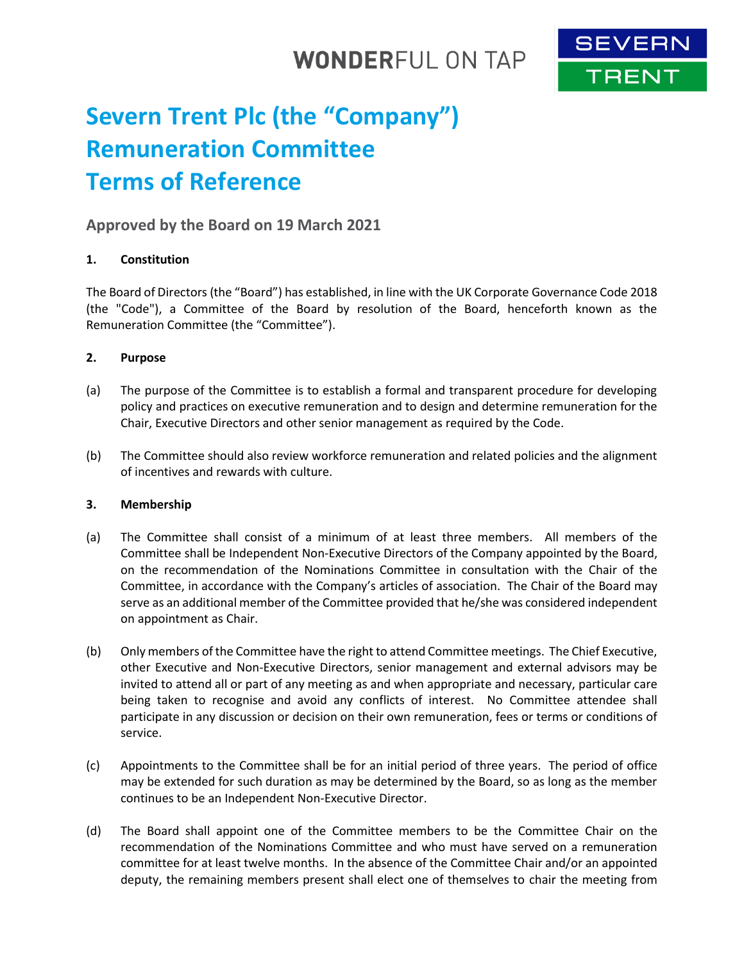## **WONDERFUL ON TAP**



# **Severn Trent Plc (the "Company") Remuneration Committee Terms of Reference**

## **Approved by the Board on 19 March 2021**

## **1. Constitution**

The Board of Directors (the "Board") has established, in line with the UK Corporate Governance Code 2018 (the "Code"), a Committee of the Board by resolution of the Board, henceforth known as the Remuneration Committee (the "Committee").

## **2. Purpose**

- (a) The purpose of the Committee is to establish a formal and transparent procedure for developing policy and practices on executive remuneration and to design and determine remuneration for the Chair, Executive Directors and other senior management as required by the Code.
- (b) The Committee should also review workforce remuneration and related policies and the alignment of incentives and rewards with culture.

## **3. Membership**

- (a) The Committee shall consist of a minimum of at least three members. All members of the Committee shall be Independent Non-Executive Directors of the Company appointed by the Board, on the recommendation of the Nominations Committee in consultation with the Chair of the Committee, in accordance with the Company's articles of association. The Chair of the Board may serve as an additional member of the Committee provided that he/she was considered independent on appointment as Chair.
- (b) Only members of the Committee have the right to attend Committee meetings. The Chief Executive, other Executive and Non-Executive Directors, senior management and external advisors may be invited to attend all or part of any meeting as and when appropriate and necessary, particular care being taken to recognise and avoid any conflicts of interest. No Committee attendee shall participate in any discussion or decision on their own remuneration, fees or terms or conditions of service.
- (c) Appointments to the Committee shall be for an initial period of three years. The period of office may be extended for such duration as may be determined by the Board, so as long as the member continues to be an Independent Non-Executive Director.
- (d) The Board shall appoint one of the Committee members to be the Committee Chair on the recommendation of the Nominations Committee and who must have served on a remuneration committee for at least twelve months. In the absence of the Committee Chair and/or an appointed deputy, the remaining members present shall elect one of themselves to chair the meeting from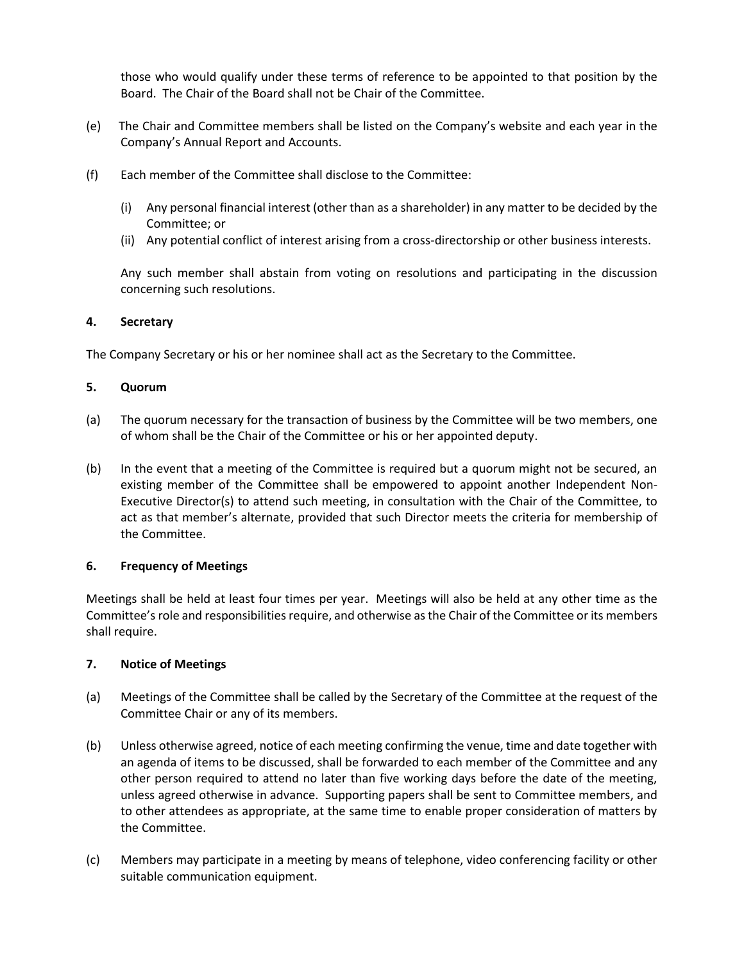those who would qualify under these terms of reference to be appointed to that position by the Board. The Chair of the Board shall not be Chair of the Committee.

- (e) The Chair and Committee members shall be listed on the Company's website and each year in the Company's Annual Report and Accounts.
- (f) Each member of the Committee shall disclose to the Committee:
	- (i) Any personal financial interest (other than as a shareholder) in any matter to be decided by the Committee; or
	- (ii) Any potential conflict of interest arising from a cross-directorship or other business interests.

Any such member shall abstain from voting on resolutions and participating in the discussion concerning such resolutions.

## **4. Secretary**

The Company Secretary or his or her nominee shall act as the Secretary to the Committee.

#### **5. Quorum**

- (a) The quorum necessary for the transaction of business by the Committee will be two members, one of whom shall be the Chair of the Committee or his or her appointed deputy.
- (b) In the event that a meeting of the Committee is required but a quorum might not be secured, an existing member of the Committee shall be empowered to appoint another Independent Non-Executive Director(s) to attend such meeting, in consultation with the Chair of the Committee, to act as that member's alternate, provided that such Director meets the criteria for membership of the Committee.

## **6. Frequency of Meetings**

Meetings shall be held at least four times per year. Meetings will also be held at any other time as the Committee's role and responsibilities require, and otherwise as the Chair of the Committee or its members shall require.

## **7. Notice of Meetings**

- (a) Meetings of the Committee shall be called by the Secretary of the Committee at the request of the Committee Chair or any of its members.
- (b) Unless otherwise agreed, notice of each meeting confirming the venue, time and date together with an agenda of items to be discussed, shall be forwarded to each member of the Committee and any other person required to attend no later than five working days before the date of the meeting, unless agreed otherwise in advance. Supporting papers shall be sent to Committee members, and to other attendees as appropriate, at the same time to enable proper consideration of matters by the Committee.
- (c) Members may participate in a meeting by means of telephone, video conferencing facility or other suitable communication equipment.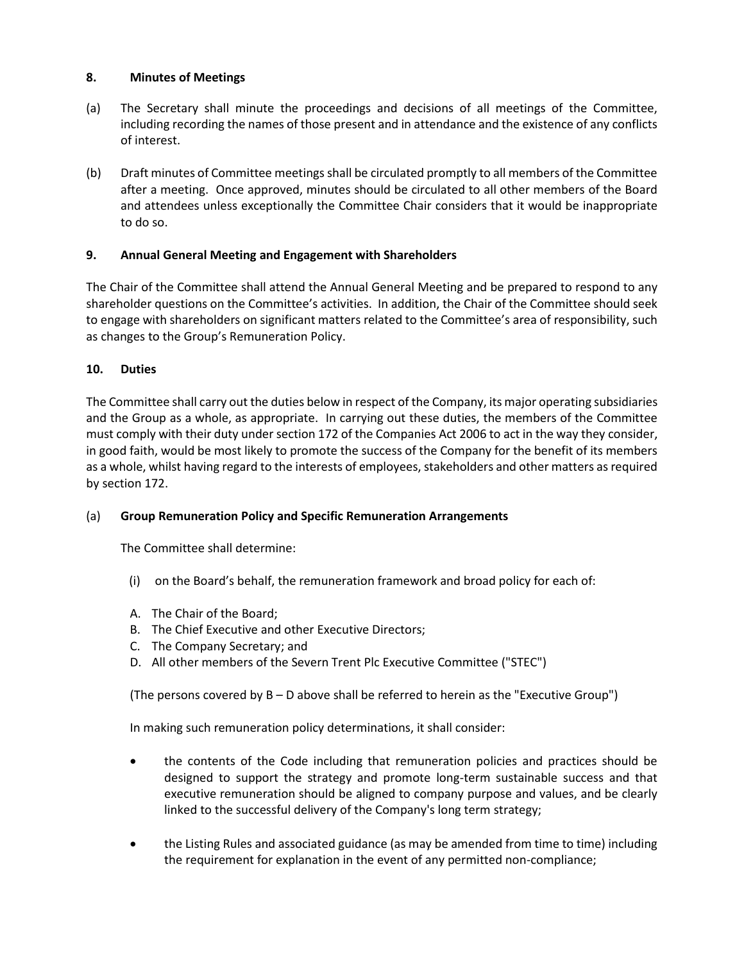## **8. Minutes of Meetings**

- (a) The Secretary shall minute the proceedings and decisions of all meetings of the Committee, including recording the names of those present and in attendance and the existence of any conflicts of interest.
- (b) Draft minutes of Committee meetings shall be circulated promptly to all members of the Committee after a meeting. Once approved, minutes should be circulated to all other members of the Board and attendees unless exceptionally the Committee Chair considers that it would be inappropriate to do so.

## **9. Annual General Meeting and Engagement with Shareholders**

The Chair of the Committee shall attend the Annual General Meeting and be prepared to respond to any shareholder questions on the Committee's activities. In addition, the Chair of the Committee should seek to engage with shareholders on significant matters related to the Committee's area of responsibility, such as changes to the Group's Remuneration Policy.

## **10. Duties**

The Committee shall carry out the duties below in respect of the Company, its major operating subsidiaries and the Group as a whole, as appropriate. In carrying out these duties, the members of the Committee must comply with their duty under section 172 of the Companies Act 2006 to act in the way they consider, in good faith, would be most likely to promote the success of the Company for the benefit of its members as a whole, whilst having regard to the interests of employees, stakeholders and other matters as required by section 172.

## (a) **Group Remuneration Policy and Specific Remuneration Arrangements**

The Committee shall determine:

- (i) on the Board's behalf, the remuneration framework and broad policy for each of:
- A. The Chair of the Board;
- B. The Chief Executive and other Executive Directors;
- C. The Company Secretary; and
- D. All other members of the Severn Trent Plc Executive Committee ("STEC")

(The persons covered by B – D above shall be referred to herein as the "Executive Group")

In making such remuneration policy determinations, it shall consider:

- the contents of the Code including that remuneration policies and practices should be designed to support the strategy and promote long-term sustainable success and that executive remuneration should be aligned to company purpose and values, and be clearly linked to the successful delivery of the Company's long term strategy;
- the Listing Rules and associated guidance (as may be amended from time to time) including the requirement for explanation in the event of any permitted non-compliance;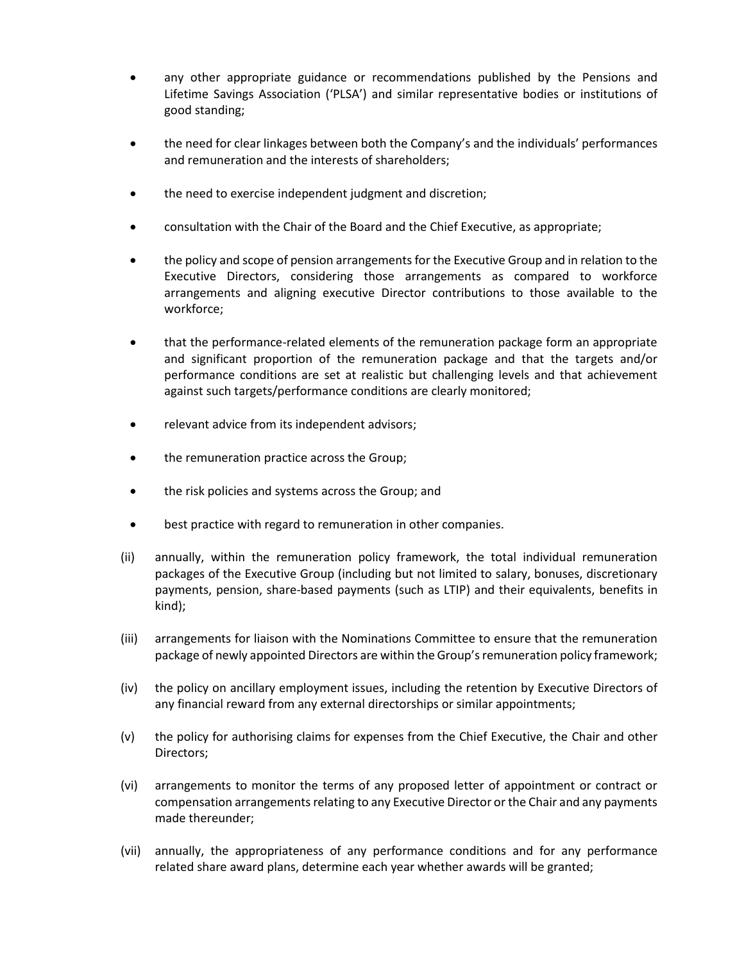- any other appropriate guidance or recommendations published by the Pensions and Lifetime Savings Association ('PLSA') and similar representative bodies or institutions of good standing;
- the need for clear linkages between both the Company's and the individuals' performances and remuneration and the interests of shareholders;
- the need to exercise independent judgment and discretion;
- consultation with the Chair of the Board and the Chief Executive, as appropriate;
- the policy and scope of pension arrangements for the Executive Group and in relation to the Executive Directors, considering those arrangements as compared to workforce arrangements and aligning executive Director contributions to those available to the workforce;
- that the performance-related elements of the remuneration package form an appropriate and significant proportion of the remuneration package and that the targets and/or performance conditions are set at realistic but challenging levels and that achievement against such targets/performance conditions are clearly monitored;
- relevant advice from its independent advisors;
- the remuneration practice across the Group;
- the risk policies and systems across the Group; and
- best practice with regard to remuneration in other companies.
- (ii) annually, within the remuneration policy framework, the total individual remuneration packages of the Executive Group (including but not limited to salary, bonuses, discretionary payments, pension, share-based payments (such as LTIP) and their equivalents, benefits in kind);
- (iii) arrangements for liaison with the Nominations Committee to ensure that the remuneration package of newly appointed Directors are within the Group's remuneration policy framework;
- (iv) the policy on ancillary employment issues, including the retention by Executive Directors of any financial reward from any external directorships or similar appointments;
- (v) the policy for authorising claims for expenses from the Chief Executive, the Chair and other Directors;
- (vi) arrangements to monitor the terms of any proposed letter of appointment or contract or compensation arrangements relating to any Executive Director or the Chair and any payments made thereunder;
- (vii) annually, the appropriateness of any performance conditions and for any performance related share award plans, determine each year whether awards will be granted;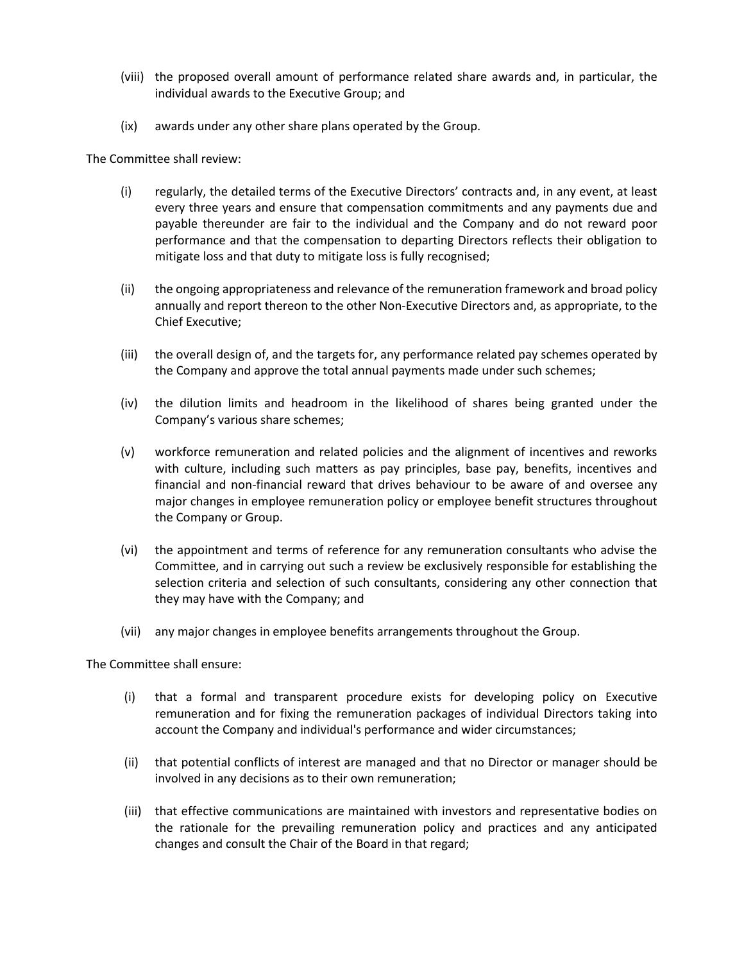- (viii) the proposed overall amount of performance related share awards and, in particular, the individual awards to the Executive Group; and
- (ix) awards under any other share plans operated by the Group.

The Committee shall review:

- (i) regularly, the detailed terms of the Executive Directors' contracts and, in any event, at least every three years and ensure that compensation commitments and any payments due and payable thereunder are fair to the individual and the Company and do not reward poor performance and that the compensation to departing Directors reflects their obligation to mitigate loss and that duty to mitigate loss is fully recognised;
- (ii) the ongoing appropriateness and relevance of the remuneration framework and broad policy annually and report thereon to the other Non-Executive Directors and, as appropriate, to the Chief Executive;
- (iii) the overall design of, and the targets for, any performance related pay schemes operated by the Company and approve the total annual payments made under such schemes;
- (iv) the dilution limits and headroom in the likelihood of shares being granted under the Company's various share schemes;
- (v) workforce remuneration and related policies and the alignment of incentives and reworks with culture, including such matters as pay principles, base pay, benefits, incentives and financial and non-financial reward that drives behaviour to be aware of and oversee any major changes in employee remuneration policy or employee benefit structures throughout the Company or Group.
- (vi) the appointment and terms of reference for any remuneration consultants who advise the Committee, and in carrying out such a review be exclusively responsible for establishing the selection criteria and selection of such consultants, considering any other connection that they may have with the Company; and
- (vii) any major changes in employee benefits arrangements throughout the Group.

The Committee shall ensure:

- (i) that a formal and transparent procedure exists for developing policy on Executive remuneration and for fixing the remuneration packages of individual Directors taking into account the Company and individual's performance and wider circumstances;
- (ii) that potential conflicts of interest are managed and that no Director or manager should be involved in any decisions as to their own remuneration;
- (iii) that effective communications are maintained with investors and representative bodies on the rationale for the prevailing remuneration policy and practices and any anticipated changes and consult the Chair of the Board in that regard;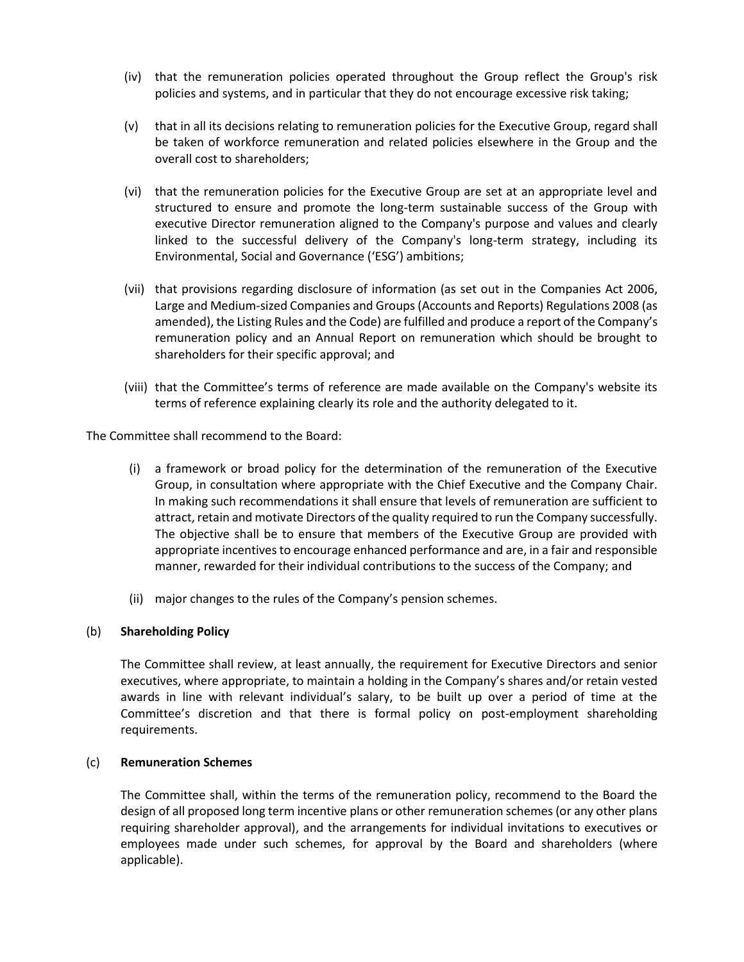- (iv) that the remuneration policies operated throughout the Group reflect the Group's risk policies and systems, and in particular that they do not encourage excessive risk taking;
- (v) that in all its decisions relating to remuneration policies for the Executive Group, regard shall be taken of workforce remuneration and related policies elsewhere in the Group and the overall cost to shareholders;
- (vi) that the remuneration policies for the Executive Group are set at an appropriate level and structured to ensure and promote the long-term sustainable success of the Group with executive Director remuneration aligned to the Company's purpose and values and clearly linked to the successful delivery of the Company's long-term strategy, including its Environmental, Social and Governance ('ESG') ambitions;
- (vii) that provisions regarding disclosure of information (as set out in the Companies Act 2006, Large and Medium-sized Companies and Groups (Accounts and Reports) Regulations 2008 (as amended), the Listing Rules and the Code) are fulfilled and produce a report of the Company's remuneration policy and an Annual Report on remuneration which should be brought to shareholders for their specific approval; and
- (viii) that the Committee's terms of reference are made available on the Company's website its terms of reference explaining clearly its role and the authority delegated to it.

The Committee shall recommend to the Board:

- (i) a framework or broad policy for the determination of the remuneration of the Executive Group, in consultation where appropriate with the Chief Executive and the Company Chair. In making such recommendations it shall ensure that levels of remuneration are sufficient to attract, retain and motivate Directors of the quality required to run the Company successfully. The objective shall be to ensure that members of the Executive Group are provided with appropriate incentives to encourage enhanced performance and are, in a fair and responsible manner, rewarded for their individual contributions to the success of the Company; and
- (ii) major changes to the rules of the Company's pension schemes.

## (b) **Shareholding Policy**

The Committee shall review, at least annually, the requirement for Executive Directors and senior executives, where appropriate, to maintain a holding in the Company's shares and/or retain vested awards in line with relevant individual's salary, to be built up over a period of time at the Committee's discretion and that there is formal policy on post-employment shareholding requirements.

## (c) **Remuneration Schemes**

The Committee shall, within the terms of the remuneration policy, recommend to the Board the design of all proposed long term incentive plans or other remuneration schemes (or any other plans requiring shareholder approval), and the arrangements for individual invitations to executives or employees made under such schemes, for approval by the Board and shareholders (where applicable).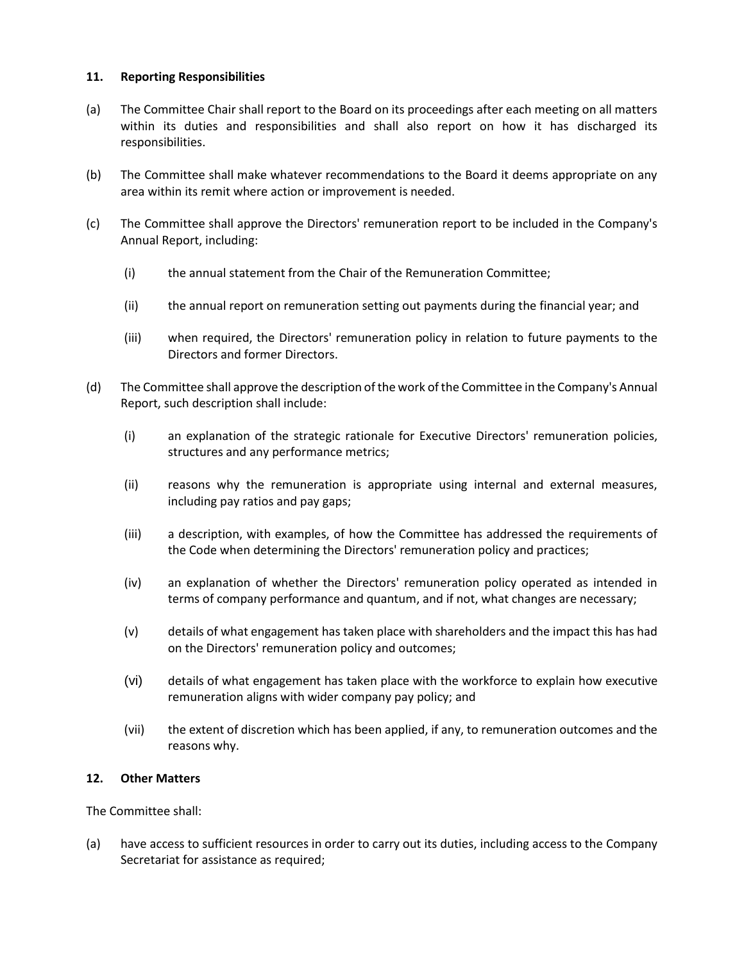## **11. Reporting Responsibilities**

- (a) The Committee Chair shall report to the Board on its proceedings after each meeting on all matters within its duties and responsibilities and shall also report on how it has discharged its responsibilities.
- (b) The Committee shall make whatever recommendations to the Board it deems appropriate on any area within its remit where action or improvement is needed.
- (c) The Committee shall approve the Directors' remuneration report to be included in the Company's Annual Report, including:
	- (i) the annual statement from the Chair of the Remuneration Committee;
	- (ii) the annual report on remuneration setting out payments during the financial year; and
	- (iii) when required, the Directors' remuneration policy in relation to future payments to the Directors and former Directors.
- (d) The Committee shall approve the description of the work of the Committee in the Company's Annual Report, such description shall include:
	- (i) an explanation of the strategic rationale for Executive Directors' remuneration policies, structures and any performance metrics;
	- (ii) reasons why the remuneration is appropriate using internal and external measures, including pay ratios and pay gaps;
	- (iii) a description, with examples, of how the Committee has addressed the requirements of the Code when determining the Directors' remuneration policy and practices;
	- (iv) an explanation of whether the Directors' remuneration policy operated as intended in terms of company performance and quantum, and if not, what changes are necessary;
	- (v) details of what engagement has taken place with shareholders and the impact this has had on the Directors' remuneration policy and outcomes;
	- (vi) details of what engagement has taken place with the workforce to explain how executive remuneration aligns with wider company pay policy; and
	- (vii) the extent of discretion which has been applied, if any, to remuneration outcomes and the reasons why.

## **12. Other Matters**

The Committee shall:

(a) have access to sufficient resources in order to carry out its duties, including access to the Company Secretariat for assistance as required;